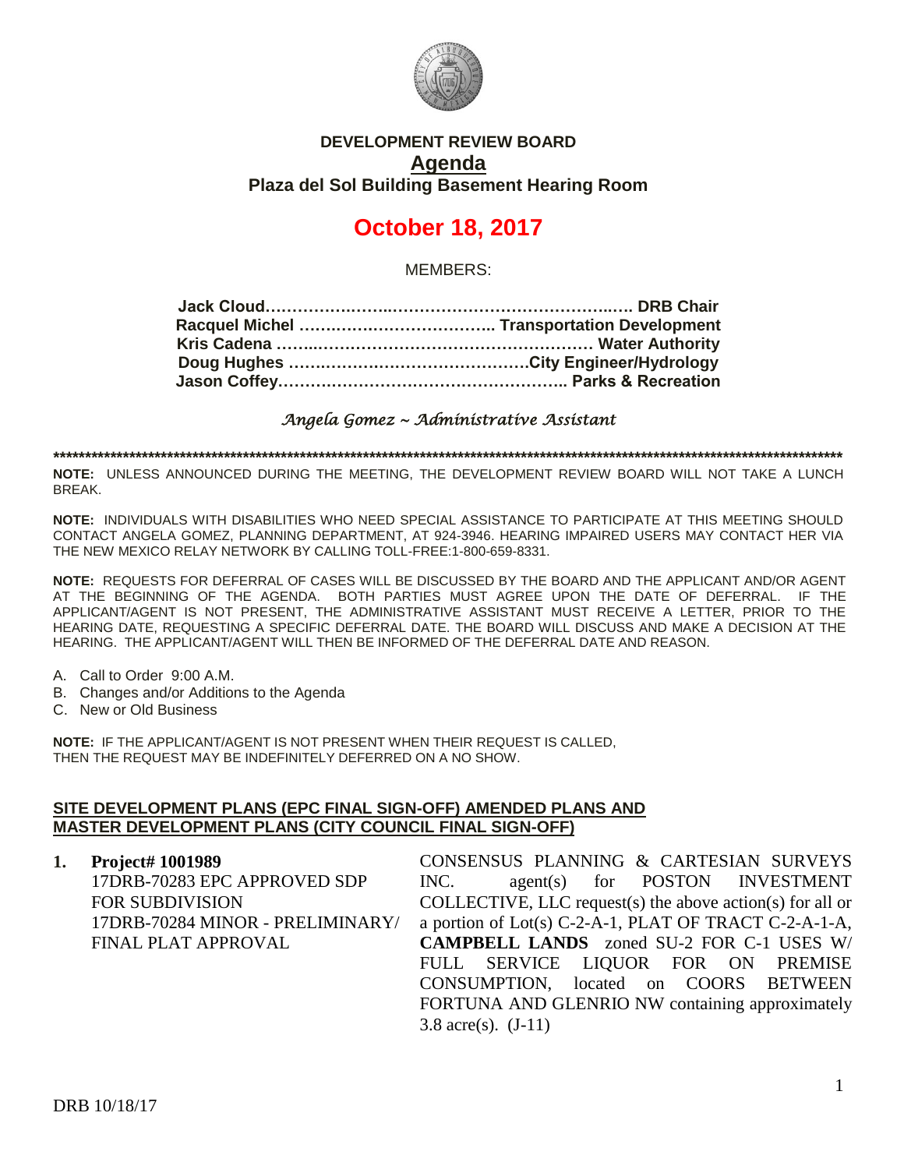

## **DEVELOPMENT REVIEW BOARD Agenda Plaza del Sol Building Basement Hearing Room**

# **October 18, 2017**

MEMBERS:

*Angela Gomez ~ Administrative Assistant* 

**\*\*\*\*\*\*\*\*\*\*\*\*\*\*\*\*\*\*\*\*\*\*\*\*\*\*\*\*\*\*\*\*\*\*\*\*\*\*\*\*\*\*\*\*\*\*\*\*\*\*\*\*\*\*\*\*\*\*\*\*\*\*\*\*\*\*\*\*\*\*\*\*\*\*\*\*\*\*\*\*\*\*\*\*\*\*\*\*\*\*\*\*\*\*\*\*\*\*\*\*\*\*\*\*\*\*\*\*\*\*\*\*\*\*\*\*\*\*\*\*\*\*\*\*\***

**NOTE:** UNLESS ANNOUNCED DURING THE MEETING, THE DEVELOPMENT REVIEW BOARD WILL NOT TAKE A LUNCH BREAK.

**NOTE:** INDIVIDUALS WITH DISABILITIES WHO NEED SPECIAL ASSISTANCE TO PARTICIPATE AT THIS MEETING SHOULD CONTACT ANGELA GOMEZ, PLANNING DEPARTMENT, AT 924-3946. HEARING IMPAIRED USERS MAY CONTACT HER VIA THE NEW MEXICO RELAY NETWORK BY CALLING TOLL-FREE:1-800-659-8331.

**NOTE:** REQUESTS FOR DEFERRAL OF CASES WILL BE DISCUSSED BY THE BOARD AND THE APPLICANT AND/OR AGENT AT THE BEGINNING OF THE AGENDA. BOTH PARTIES MUST AGREE UPON THE DATE OF DEFERRAL. IF THE APPLICANT/AGENT IS NOT PRESENT, THE ADMINISTRATIVE ASSISTANT MUST RECEIVE A LETTER, PRIOR TO THE HEARING DATE, REQUESTING A SPECIFIC DEFERRAL DATE. THE BOARD WILL DISCUSS AND MAKE A DECISION AT THE HEARING. THE APPLICANT/AGENT WILL THEN BE INFORMED OF THE DEFERRAL DATE AND REASON.

- A. Call to Order 9:00 A.M.
- B. Changes and/or Additions to the Agenda
- C. New or Old Business

**NOTE:** IF THE APPLICANT/AGENT IS NOT PRESENT WHEN THEIR REQUEST IS CALLED, THEN THE REQUEST MAY BE INDEFINITELY DEFERRED ON A NO SHOW.

#### **SITE DEVELOPMENT PLANS (EPC FINAL SIGN-OFF) AMENDED PLANS AND MASTER DEVELOPMENT PLANS (CITY COUNCIL FINAL SIGN-OFF)**

**1. Project# 1001989** 17DRB-70283 EPC APPROVED SDP FOR SUBDIVISION 17DRB-70284 MINOR - PRELIMINARY/ FINAL PLAT APPROVAL CONSENSUS PLANNING & CARTESIAN SURVEYS INC. agent(s) for POSTON INVESTMENT COLLECTIVE, LLC request(s) the above action(s) for all or a portion of Lot(s) C-2-A-1, PLAT OF TRACT C-2-A-1-A, **CAMPBELL LANDS** zoned SU-2 FOR C-1 USES W/ FULL SERVICE LIQUOR FOR ON PREMISE CONSUMPTION, located on COORS BETWEEN FORTUNA AND GLENRIO NW containing approximately 3.8 acre(s). (J-11)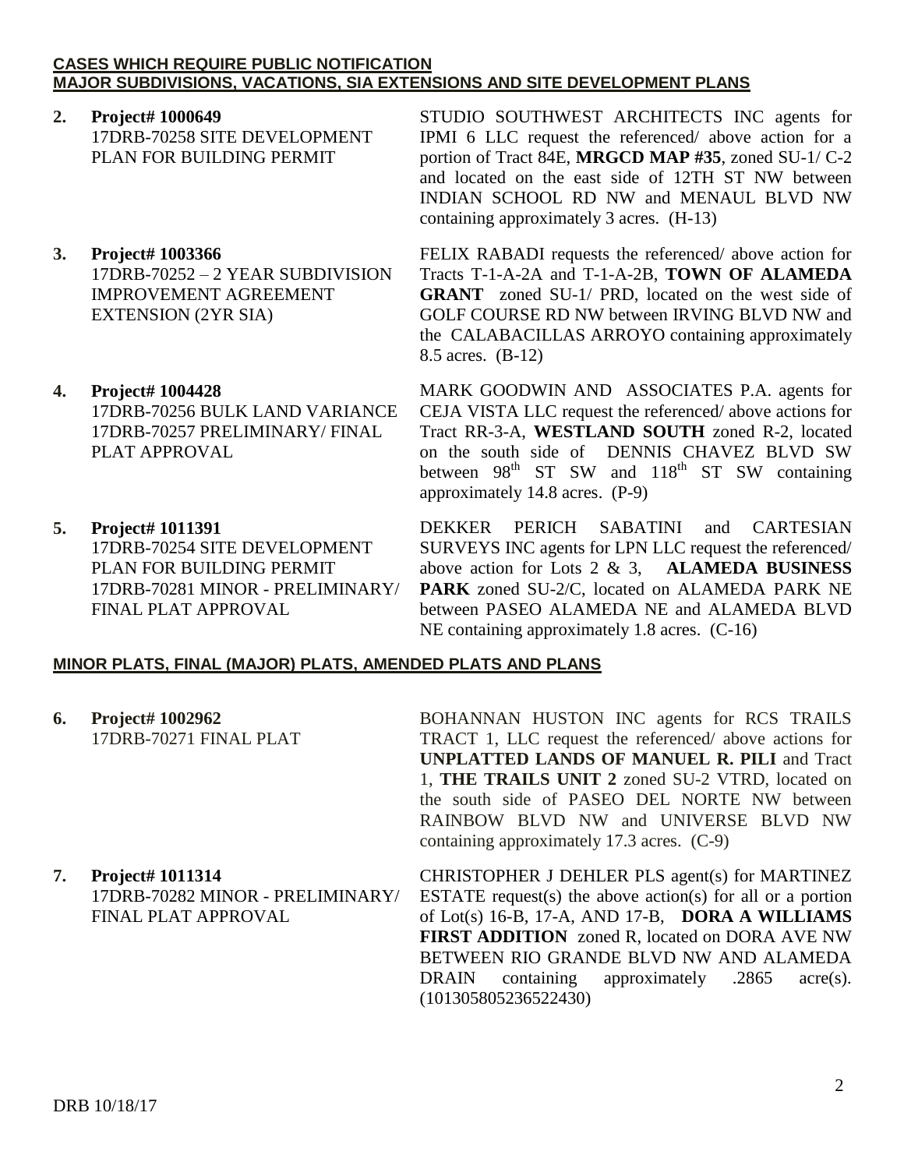#### **CASES WHICH REQUIRE PUBLIC NOTIFICATION MAJOR SUBDIVISIONS, VACATIONS, SIA EXTENSIONS AND SITE DEVELOPMENT PLANS**

- **2. Project# 1000649** 17DRB-70258 SITE DEVELOPMENT PLAN FOR BUILDING PERMIT
- **3. Project# 1003366** 17DRB-70252 – 2 YEAR SUBDIVISION IMPROVEMENT AGREEMENT EXTENSION (2YR SIA)
- **4. Project# 1004428** 17DRB-70256 BULK LAND VARIANCE 17DRB-70257 PRELIMINARY/ FINAL PLAT APPROVAL
- **5. Project# 1011391** 17DRB-70254 SITE DEVELOPMENT PLAN FOR BUILDING PERMIT 17DRB-70281 MINOR - PRELIMINARY/ FINAL PLAT APPROVAL

STUDIO SOUTHWEST ARCHITECTS INC agents for IPMI 6 LLC request the referenced/ above action for a portion of Tract 84E, **MRGCD MAP #35**, zoned SU-1/ C-2 and located on the east side of 12TH ST NW between INDIAN SCHOOL RD NW and MENAUL BLVD NW containing approximately 3 acres. (H-13)

FELIX RABADI requests the referenced/ above action for Tracts T-1-A-2A and T-1-A-2B, **TOWN OF ALAMEDA GRANT** zoned SU-1/ PRD, located on the west side of GOLF COURSE RD NW between IRVING BLVD NW and the CALABACILLAS ARROYO containing approximately 8.5 acres. (B-12)

MARK GOODWIN AND ASSOCIATES P.A. agents for CEJA VISTA LLC request the referenced/ above actions for Tract RR-3-A, **WESTLAND SOUTH** zoned R-2, located on the south side of DENNIS CHAVEZ BLVD SW between  $98<sup>th</sup>$  ST SW and  $118<sup>th</sup>$  ST SW containing approximately 14.8 acres. (P-9)

DEKKER PERICH SABATINI and CARTESIAN SURVEYS INC agents for LPN LLC request the referenced/ above action for Lots 2 & 3, **ALAMEDA BUSINESS PARK** zoned SU-2/C, located on ALAMEDA PARK NE between PASEO ALAMEDA NE and ALAMEDA BLVD NE containing approximately 1.8 acres. (C-16)

#### **MINOR PLATS, FINAL (MAJOR) PLATS, AMENDED PLATS AND PLANS**

**6. Project# 1002962** 17DRB-70271 FINAL PLAT

BOHANNAN HUSTON INC agents for RCS TRAILS TRACT 1, LLC request the referenced/ above actions for **UNPLATTED LANDS OF MANUEL R. PILI** and Tract 1, **THE TRAILS UNIT 2** zoned SU-2 VTRD, located on the south side of PASEO DEL NORTE NW between RAINBOW BLVD NW and UNIVERSE BLVD NW containing approximately 17.3 acres. (C-9)

**7. Project# 1011314** 17DRB-70282 MINOR - PRELIMINARY/ FINAL PLAT APPROVAL

CHRISTOPHER J DEHLER PLS agent(s) for MARTINEZ ESTATE request(s) the above action(s) for all or a portion of Lot(s) 16-B, 17-A, AND 17-B, **DORA A WILLIAMS FIRST ADDITION** zoned R, located on DORA AVE NW BETWEEN RIO GRANDE BLVD NW AND ALAMEDA DRAIN containing approximately .2865 acre(s). (101305805236522430)